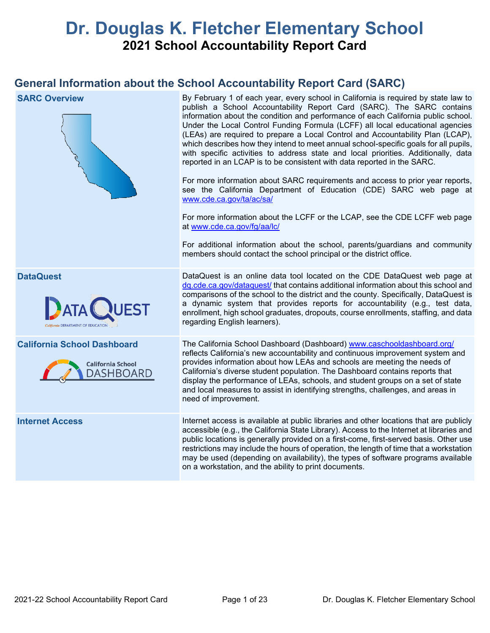# **Dr. Douglas K. Fletcher Elementary School 2021 School Accountability Report Card**

## **General Information about the School Accountability Report Card (SARC)**

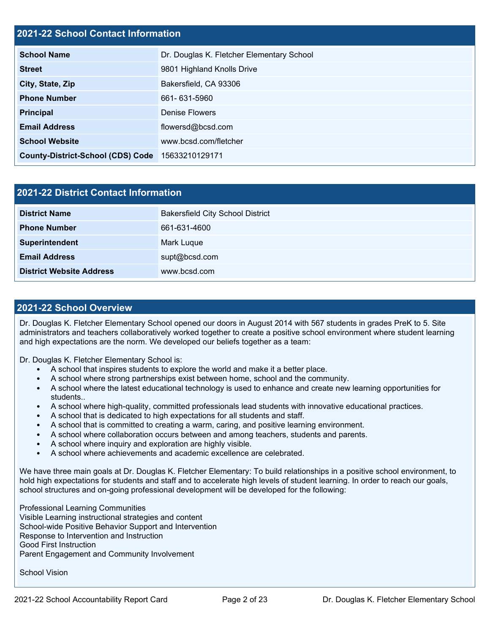## **2021-22 School Contact Information**

| <b>School Name</b>                       | Dr. Douglas K. Fletcher Elementary School |  |  |  |
|------------------------------------------|-------------------------------------------|--|--|--|
| <b>Street</b>                            | 9801 Highland Knolls Drive                |  |  |  |
| City, State, Zip                         | Bakersfield, CA 93306                     |  |  |  |
| <b>Phone Number</b>                      | 661-631-5960                              |  |  |  |
| <b>Principal</b>                         | Denise Flowers                            |  |  |  |
| <b>Email Address</b>                     | flowersd@bcsd.com                         |  |  |  |
| <b>School Website</b>                    | www.bcsd.com/fletcher                     |  |  |  |
| <b>County-District-School (CDS) Code</b> | 15633210129171                            |  |  |  |

| <b>2021-22 District Contact Information</b> |                                         |  |
|---------------------------------------------|-----------------------------------------|--|
| <b>District Name</b>                        | <b>Bakersfield City School District</b> |  |
| <b>Phone Number</b>                         | 661-631-4600                            |  |
| Superintendent                              | Mark Luque                              |  |
| <b>Email Address</b>                        | supt@bcsd.com                           |  |
| <b>District Website Address</b>             | www.bcsd.com                            |  |

## **2021-22 School Overview**

Dr. Douglas K. Fletcher Elementary School opened our doors in August 2014 with 567 students in grades PreK to 5. Site administrators and teachers collaboratively worked together to create a positive school environment where student learning and high expectations are the norm. We developed our beliefs together as a team:

Dr. Douglas K. Fletcher Elementary School is:

- A school that inspires students to explore the world and make it a better place.
- A school where strong partnerships exist between home, school and the community.
- A school where the latest educational technology is used to enhance and create new learning opportunities for students..
- A school where high-quality, committed professionals lead students with innovative educational practices.
- A school that is dedicated to high expectations for all students and staff.
- A school that is committed to creating a warm, caring, and positive learning environment.
- A school where collaboration occurs between and among teachers, students and parents.
- A school where inquiry and exploration are highly visible.
- A school where achievements and academic excellence are celebrated.

We have three main goals at Dr. Douglas K. Fletcher Elementary: To build relationships in a positive school environment, to hold high expectations for students and staff and to accelerate high levels of student learning. In order to reach our goals, school structures and on-going professional development will be developed for the following:

Professional Learning Communities Visible Learning instructional strategies and content School-wide Positive Behavior Support and Intervention Response to Intervention and Instruction Good First Instruction Parent Engagement and Community Involvement

School Vision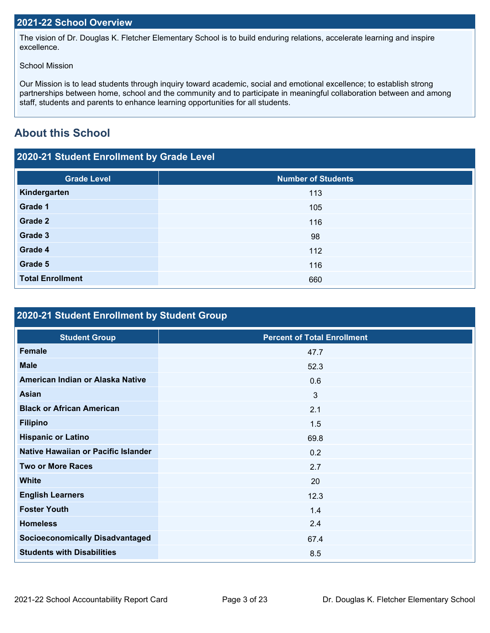## **2021-22 School Overview**

The vision of Dr. Douglas K. Fletcher Elementary School is to build enduring relations, accelerate learning and inspire excellence.

#### School Mission

Our Mission is to lead students through inquiry toward academic, social and emotional excellence; to establish strong partnerships between home, school and the community and to participate in meaningful collaboration between and among staff, students and parents to enhance learning opportunities for all students.

## **About this School**

## **2020-21 Student Enrollment by Grade Level**

| <b>Grade Level</b>      | <b>Number of Students</b> |
|-------------------------|---------------------------|
| Kindergarten            | 113                       |
| Grade 1                 | 105                       |
| Grade 2                 | 116                       |
| Grade 3                 | 98                        |
| Grade 4                 | 112                       |
| Grade 5                 | 116                       |
| <b>Total Enrollment</b> | 660                       |

## **2020-21 Student Enrollment by Student Group**

| <b>Student Group</b>                   | <b>Percent of Total Enrollment</b> |
|----------------------------------------|------------------------------------|
| <b>Female</b>                          | 47.7                               |
| <b>Male</b>                            | 52.3                               |
| American Indian or Alaska Native       | 0.6                                |
| Asian                                  | 3                                  |
| <b>Black or African American</b>       | 2.1                                |
| <b>Filipino</b>                        | 1.5                                |
| <b>Hispanic or Latino</b>              | 69.8                               |
| Native Hawaiian or Pacific Islander    | 0.2                                |
| <b>Two or More Races</b>               | 2.7                                |
| <b>White</b>                           | 20                                 |
| <b>English Learners</b>                | 12.3                               |
| <b>Foster Youth</b>                    | 1.4                                |
| <b>Homeless</b>                        | 2.4                                |
| <b>Socioeconomically Disadvantaged</b> | 67.4                               |
| <b>Students with Disabilities</b>      | 8.5                                |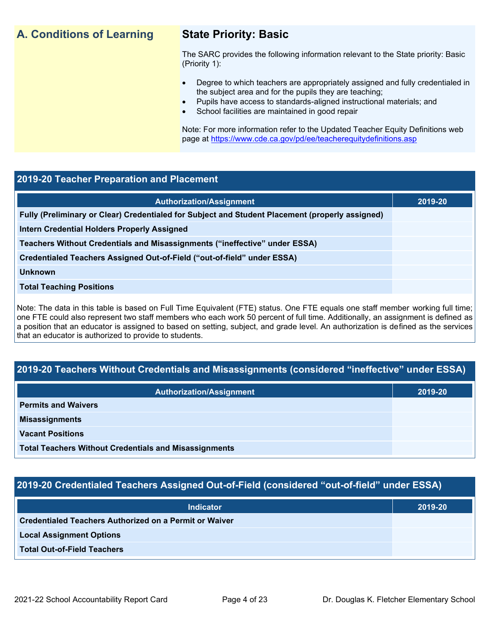## **A. Conditions of Learning State Priority: Basic**

The SARC provides the following information relevant to the State priority: Basic (Priority 1):

- Degree to which teachers are appropriately assigned and fully credentialed in the subject area and for the pupils they are teaching;
	- Pupils have access to standards-aligned instructional materials; and
- School facilities are maintained in good repair

Note: For more information refer to the Updated Teacher Equity Definitions web page at<https://www.cde.ca.gov/pd/ee/teacherequitydefinitions.asp>

#### **2019-20 Teacher Preparation and Placement**

| <b>Authorization/Assignment</b>                                                                 | 2019-20 |
|-------------------------------------------------------------------------------------------------|---------|
| Fully (Preliminary or Clear) Credentialed for Subject and Student Placement (properly assigned) |         |
| <b>Intern Credential Holders Properly Assigned</b>                                              |         |
| Teachers Without Credentials and Misassignments ("ineffective" under ESSA)                      |         |
| Credentialed Teachers Assigned Out-of-Field ("out-of-field" under ESSA)                         |         |
| <b>Unknown</b>                                                                                  |         |
| <b>Total Teaching Positions</b>                                                                 |         |
|                                                                                                 |         |

Note: The data in this table is based on Full Time Equivalent (FTE) status. One FTE equals one staff member working full time; one FTE could also represent two staff members who each work 50 percent of full time. Additionally, an assignment is defined as a position that an educator is assigned to based on setting, subject, and grade level. An authorization is defined as the services that an educator is authorized to provide to students.

## **2019-20 Teachers Without Credentials and Misassignments (considered "ineffective" under ESSA)**

| <b>Authorization/Assignment</b>                              | 2019-20 |  |
|--------------------------------------------------------------|---------|--|
| <b>Permits and Waivers</b>                                   |         |  |
| <b>Misassignments</b>                                        |         |  |
| <b>Vacant Positions</b>                                      |         |  |
| <b>Total Teachers Without Credentials and Misassignments</b> |         |  |

## **2019-20 Credentialed Teachers Assigned Out-of-Field (considered "out-of-field" under ESSA)**

| <b>Indicator</b>                                       | 2019-20 |
|--------------------------------------------------------|---------|
| Credentialed Teachers Authorized on a Permit or Waiver |         |
| <b>Local Assignment Options</b>                        |         |
| <b>Total Out-of-Field Teachers</b>                     |         |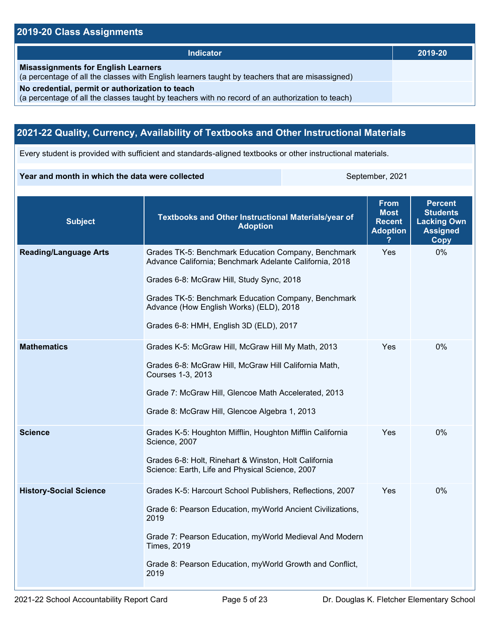## **2019-20 Class Assignments**

| <b>Indicator</b>                                                                                                                                    | 2019-20 |
|-----------------------------------------------------------------------------------------------------------------------------------------------------|---------|
| <b>Misassignments for English Learners</b><br>(a percentage of all the classes with English learners taught by teachers that are misassigned)       |         |
| No credential, permit or authorization to teach<br>(a percentage of all the classes taught by teachers with no record of an authorization to teach) |         |

## **2021-22 Quality, Currency, Availability of Textbooks and Other Instructional Materials**

Every student is provided with sufficient and standards-aligned textbooks or other instructional materials.

#### **Year and month in which the data were collected** September, 2021

| <b>Subject</b>                | Textbooks and Other Instructional Materials/year of<br><b>Adoption</b>                                                                                                                                                                                                                                   | <b>From</b><br><b>Most</b><br><b>Recent</b><br><b>Adoption</b> | <b>Percent</b><br><b>Students</b><br><b>Lacking Own</b><br><b>Assigned</b><br><b>Copy</b> |
|-------------------------------|----------------------------------------------------------------------------------------------------------------------------------------------------------------------------------------------------------------------------------------------------------------------------------------------------------|----------------------------------------------------------------|-------------------------------------------------------------------------------------------|
| <b>Reading/Language Arts</b>  | Grades TK-5: Benchmark Education Company, Benchmark<br>Advance California; Benchmark Adelante California, 2018<br>Grades 6-8: McGraw Hill, Study Sync, 2018<br>Grades TK-5: Benchmark Education Company, Benchmark<br>Advance (How English Works) (ELD), 2018<br>Grades 6-8: HMH, English 3D (ELD), 2017 | Yes                                                            | 0%                                                                                        |
| <b>Mathematics</b>            | Grades K-5: McGraw Hill, McGraw Hill My Math, 2013<br>Grades 6-8: McGraw Hill, McGraw Hill California Math,<br>Courses 1-3, 2013<br>Grade 7: McGraw Hill, Glencoe Math Accelerated, 2013<br>Grade 8: McGraw Hill, Glencoe Algebra 1, 2013                                                                | Yes                                                            | $0\%$                                                                                     |
| <b>Science</b>                | Grades K-5: Houghton Mifflin, Houghton Mifflin California<br>Science, 2007<br>Grades 6-8: Holt, Rinehart & Winston, Holt California<br>Science: Earth, Life and Physical Science, 2007                                                                                                                   | Yes                                                            | 0%                                                                                        |
| <b>History-Social Science</b> | Grades K-5: Harcourt School Publishers, Reflections, 2007<br>Grade 6: Pearson Education, myWorld Ancient Civilizations,<br>2019<br>Grade 7: Pearson Education, myWorld Medieval And Modern<br><b>Times, 2019</b><br>Grade 8: Pearson Education, myWorld Growth and Conflict,<br>2019                     | Yes                                                            | 0%                                                                                        |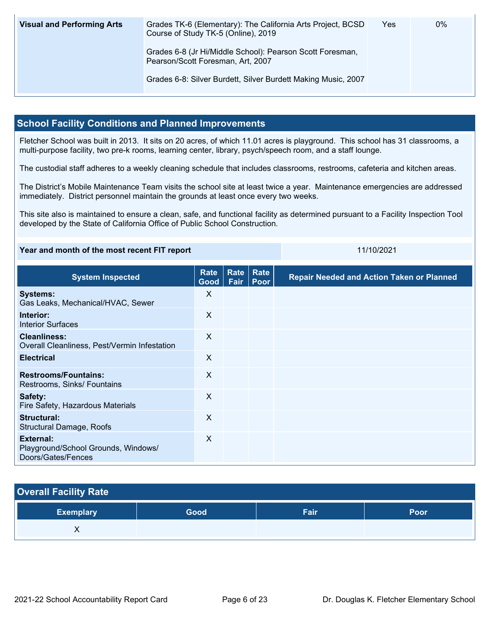| <b>Visual and Performing Arts</b> | Grades TK-6 (Elementary): The California Arts Project, BCSD<br>Course of Study TK-5 (Online), 2019 | Yes | 0% |
|-----------------------------------|----------------------------------------------------------------------------------------------------|-----|----|
|                                   | Grades 6-8 (Jr Hi/Middle School): Pearson Scott Foresman,<br>Pearson/Scott Foresman, Art, 2007     |     |    |
|                                   | Grades 6-8: Silver Burdett, Silver Burdett Making Music, 2007                                      |     |    |

### **School Facility Conditions and Planned Improvements**

Fletcher School was built in 2013. It sits on 20 acres, of which 11.01 acres is playground. This school has 31 classrooms, a multi-purpose facility, two pre-k rooms, learning center, library, psych/speech room, and a staff lounge.

The custodial staff adheres to a weekly cleaning schedule that includes classrooms, restrooms, cafeteria and kitchen areas.

The District's Mobile Maintenance Team visits the school site at least twice a year. Maintenance emergencies are addressed immediately. District personnel maintain the grounds at least once every two weeks.

This site also is maintained to ensure a clean, safe, and functional facility as determined pursuant to a Facility Inspection Tool developed by the State of California Office of Public School Construction.

| Year and month of the most recent FIT report |                                                                               |  | 11/10/2021 |                                    |
|----------------------------------------------|-------------------------------------------------------------------------------|--|------------|------------------------------------|
| <b>System Inspected</b>                      | $\mid$ Rate $\mid$ Rate $\mid$ Rate $\mid$<br>$C_{total}$ $E_{air}$ $D_{max}$ |  |            | <b>Repair Needed and Action Ta</b> |

| <b>System Inspected</b>                                                | nait<br>$\vert$ Good $\vert$ | $rac{1}{2}$<br>Fair | <b>INGLU</b><br>Poor | <b>Repair Needed and Action Taken or Planned</b> |
|------------------------------------------------------------------------|------------------------------|---------------------|----------------------|--------------------------------------------------|
| <b>Systems:</b><br>Gas Leaks, Mechanical/HVAC, Sewer                   | X                            |                     |                      |                                                  |
| Interior:<br>Interior Surfaces                                         | X                            |                     |                      |                                                  |
| <b>Cleanliness:</b><br>Overall Cleanliness, Pest/Vermin Infestation    | X                            |                     |                      |                                                  |
| <b>Electrical</b>                                                      | $\boldsymbol{\mathsf{X}}$    |                     |                      |                                                  |
| <b>Restrooms/Fountains:</b><br>Restrooms, Sinks/ Fountains             | X                            |                     |                      |                                                  |
| Safety:<br>Fire Safety, Hazardous Materials                            | X                            |                     |                      |                                                  |
| Structural:<br><b>Structural Damage, Roofs</b>                         | X                            |                     |                      |                                                  |
| External:<br>Playground/School Grounds, Windows/<br>Doors/Gates/Fences | X                            |                     |                      |                                                  |

## **Overall Facility Rate**

| <b>Exemplary</b> | Good <sup>1</sup> | Cair<br>-all | Poor |
|------------------|-------------------|--------------|------|
|                  |                   |              |      |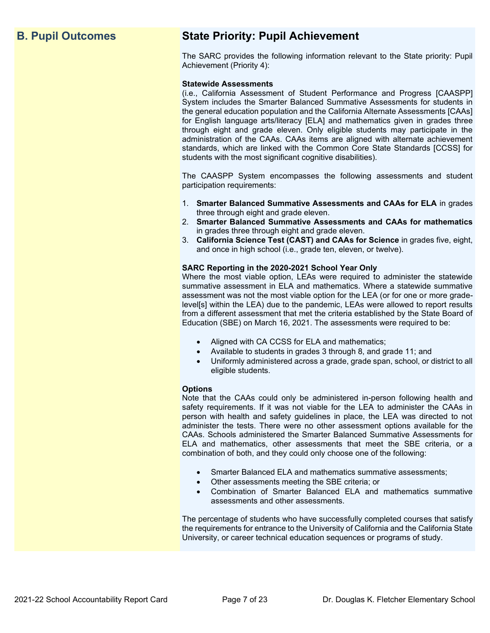## **B. Pupil Outcomes State Priority: Pupil Achievement**

The SARC provides the following information relevant to the State priority: Pupil Achievement (Priority 4):

#### **Statewide Assessments**

(i.e., California Assessment of Student Performance and Progress [CAASPP] System includes the Smarter Balanced Summative Assessments for students in the general education population and the California Alternate Assessments [CAAs] for English language arts/literacy [ELA] and mathematics given in grades three through eight and grade eleven. Only eligible students may participate in the administration of the CAAs. CAAs items are aligned with alternate achievement standards, which are linked with the Common Core State Standards [CCSS] for students with the most significant cognitive disabilities).

The CAASPP System encompasses the following assessments and student participation requirements:

- 1. **Smarter Balanced Summative Assessments and CAAs for ELA** in grades three through eight and grade eleven.
- 2. **Smarter Balanced Summative Assessments and CAAs for mathematics** in grades three through eight and grade eleven.
- 3. **California Science Test (CAST) and CAAs for Science** in grades five, eight, and once in high school (i.e., grade ten, eleven, or twelve).

#### **SARC Reporting in the 2020-2021 School Year Only**

Where the most viable option, LEAs were required to administer the statewide summative assessment in ELA and mathematics. Where a statewide summative assessment was not the most viable option for the LEA (or for one or more gradelevel[s] within the LEA) due to the pandemic, LEAs were allowed to report results from a different assessment that met the criteria established by the State Board of Education (SBE) on March 16, 2021. The assessments were required to be:

- Aligned with CA CCSS for ELA and mathematics;
- Available to students in grades 3 through 8, and grade 11; and
- Uniformly administered across a grade, grade span, school, or district to all eligible students.

#### **Options**

Note that the CAAs could only be administered in-person following health and safety requirements. If it was not viable for the LEA to administer the CAAs in person with health and safety guidelines in place, the LEA was directed to not administer the tests. There were no other assessment options available for the CAAs. Schools administered the Smarter Balanced Summative Assessments for ELA and mathematics, other assessments that meet the SBE criteria, or a combination of both, and they could only choose one of the following:

- Smarter Balanced ELA and mathematics summative assessments;
- Other assessments meeting the SBE criteria; or
- Combination of Smarter Balanced ELA and mathematics summative assessments and other assessments.

The percentage of students who have successfully completed courses that satisfy the requirements for entrance to the University of California and the California State University, or career technical education sequences or programs of study.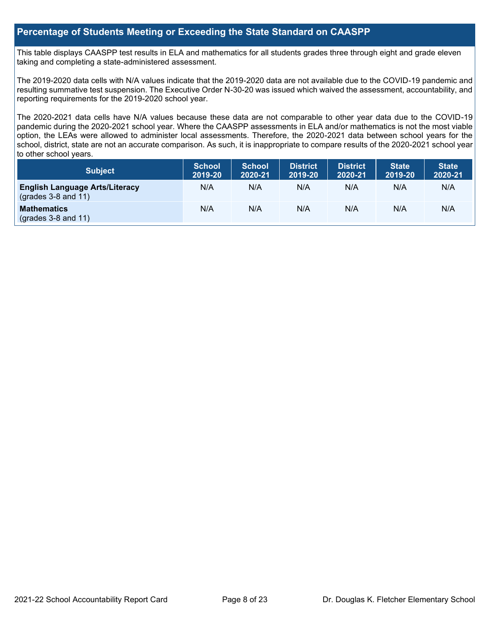### **Percentage of Students Meeting or Exceeding the State Standard on CAASPP**

This table displays CAASPP test results in ELA and mathematics for all students grades three through eight and grade eleven taking and completing a state-administered assessment.

The 2019-2020 data cells with N/A values indicate that the 2019-2020 data are not available due to the COVID-19 pandemic and resulting summative test suspension. The Executive Order N-30-20 was issued which waived the assessment, accountability, and reporting requirements for the 2019-2020 school year.

The 2020-2021 data cells have N/A values because these data are not comparable to other year data due to the COVID-19 pandemic during the 2020-2021 school year. Where the CAASPP assessments in ELA and/or mathematics is not the most viable option, the LEAs were allowed to administer local assessments. Therefore, the 2020-2021 data between school years for the school, district, state are not an accurate comparison. As such, it is inappropriate to compare results of the 2020-2021 school year to other school years.

| Subject                                                              | <b>School</b><br>2019-20 | <b>School</b><br>2020-21 | <b>District</b><br>2019-20 | <b>District</b><br>2020-21 | <b>State</b><br>2019-20 | <b>State</b><br>2020-21 |
|----------------------------------------------------------------------|--------------------------|--------------------------|----------------------------|----------------------------|-------------------------|-------------------------|
| <b>English Language Arts/Literacy</b><br>$\left($ grades 3-8 and 11) | N/A                      | N/A                      | N/A                        | N/A                        | N/A                     | N/A                     |
| <b>Mathematics</b><br>$(grades 3-8 and 11)$                          | N/A                      | N/A                      | N/A                        | N/A                        | N/A                     | N/A                     |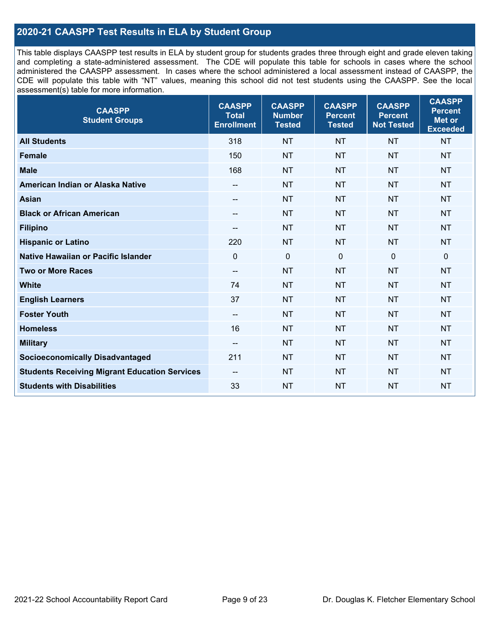## **2020-21 CAASPP Test Results in ELA by Student Group**

This table displays CAASPP test results in ELA by student group for students grades three through eight and grade eleven taking and completing a state-administered assessment. The CDE will populate this table for schools in cases where the school administered the CAASPP assessment. In cases where the school administered a local assessment instead of CAASPP, the CDE will populate this table with "NT" values, meaning this school did not test students using the CAASPP. See the local assessment(s) table for more information.

| <b>CAASPP</b><br><b>Student Groups</b>               | <b>CAASPP</b><br><b>Total</b><br><b>Enrollment</b> | <b>CAASPP</b><br><b>Number</b><br><b>Tested</b> | <b>CAASPP</b><br><b>Percent</b><br><b>Tested</b> | <b>CAASPP</b><br><b>Percent</b><br><b>Not Tested</b> | <b>CAASPP</b><br><b>Percent</b><br><b>Met or</b><br><b>Exceeded</b> |
|------------------------------------------------------|----------------------------------------------------|-------------------------------------------------|--------------------------------------------------|------------------------------------------------------|---------------------------------------------------------------------|
| <b>All Students</b>                                  | 318                                                | <b>NT</b>                                       | <b>NT</b>                                        | <b>NT</b>                                            | <b>NT</b>                                                           |
| <b>Female</b>                                        | 150                                                | <b>NT</b>                                       | <b>NT</b>                                        | <b>NT</b>                                            | <b>NT</b>                                                           |
| <b>Male</b>                                          | 168                                                | <b>NT</b>                                       | <b>NT</b>                                        | <b>NT</b>                                            | <b>NT</b>                                                           |
| American Indian or Alaska Native                     | $\qquad \qquad -$                                  | <b>NT</b>                                       | <b>NT</b>                                        | <b>NT</b>                                            | <b>NT</b>                                                           |
| <b>Asian</b>                                         | --                                                 | <b>NT</b>                                       | <b>NT</b>                                        | <b>NT</b>                                            | <b>NT</b>                                                           |
| <b>Black or African American</b>                     | $\overline{\phantom{a}}$                           | <b>NT</b>                                       | <b>NT</b>                                        | <b>NT</b>                                            | <b>NT</b>                                                           |
| <b>Filipino</b>                                      | --                                                 | <b>NT</b>                                       | <b>NT</b>                                        | <b>NT</b>                                            | <b>NT</b>                                                           |
| <b>Hispanic or Latino</b>                            | 220                                                | <b>NT</b>                                       | <b>NT</b>                                        | <b>NT</b>                                            | NT                                                                  |
| Native Hawaiian or Pacific Islander                  | $\mathbf 0$                                        | $\mathbf 0$                                     | $\mathbf 0$                                      | $\mathbf 0$                                          | 0                                                                   |
| <b>Two or More Races</b>                             | $\overline{\phantom{a}}$                           | <b>NT</b>                                       | <b>NT</b>                                        | <b>NT</b>                                            | <b>NT</b>                                                           |
| <b>White</b>                                         | 74                                                 | <b>NT</b>                                       | <b>NT</b>                                        | <b>NT</b>                                            | <b>NT</b>                                                           |
| <b>English Learners</b>                              | 37                                                 | <b>NT</b>                                       | <b>NT</b>                                        | <b>NT</b>                                            | <b>NT</b>                                                           |
| <b>Foster Youth</b>                                  | $\overline{\phantom{a}}$                           | <b>NT</b>                                       | <b>NT</b>                                        | <b>NT</b>                                            | <b>NT</b>                                                           |
| <b>Homeless</b>                                      | 16                                                 | <b>NT</b>                                       | <b>NT</b>                                        | <b>NT</b>                                            | <b>NT</b>                                                           |
| <b>Military</b>                                      | --                                                 | <b>NT</b>                                       | <b>NT</b>                                        | <b>NT</b>                                            | <b>NT</b>                                                           |
| <b>Socioeconomically Disadvantaged</b>               | 211                                                | <b>NT</b>                                       | <b>NT</b>                                        | <b>NT</b>                                            | <b>NT</b>                                                           |
| <b>Students Receiving Migrant Education Services</b> | $\overline{\phantom{a}}$                           | <b>NT</b>                                       | <b>NT</b>                                        | <b>NT</b>                                            | NT                                                                  |
| <b>Students with Disabilities</b>                    | 33                                                 | <b>NT</b>                                       | <b>NT</b>                                        | <b>NT</b>                                            | <b>NT</b>                                                           |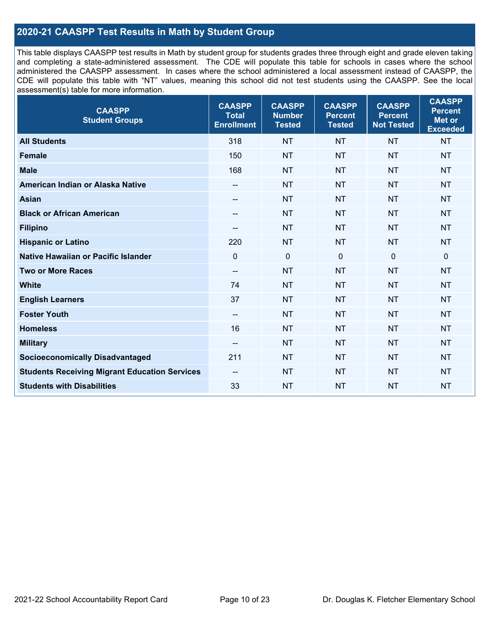## **2020-21 CAASPP Test Results in Math by Student Group**

This table displays CAASPP test results in Math by student group for students grades three through eight and grade eleven taking and completing a state-administered assessment. The CDE will populate this table for schools in cases where the school administered the CAASPP assessment. In cases where the school administered a local assessment instead of CAASPP, the CDE will populate this table with "NT" values, meaning this school did not test students using the CAASPP. See the local assessment(s) table for more information.

| <b>CAASPP</b><br><b>Student Groups</b>               | <b>CAASPP</b><br><b>Total</b><br><b>Enrollment</b> | <b>CAASPP</b><br><b>Number</b><br><b>Tested</b> | <b>CAASPP</b><br><b>Percent</b><br><b>Tested</b> | <b>CAASPP</b><br><b>Percent</b><br><b>Not Tested</b> | <b>CAASPP</b><br><b>Percent</b><br><b>Met or</b><br><b>Exceeded</b> |
|------------------------------------------------------|----------------------------------------------------|-------------------------------------------------|--------------------------------------------------|------------------------------------------------------|---------------------------------------------------------------------|
| <b>All Students</b>                                  | 318                                                | <b>NT</b>                                       | <b>NT</b>                                        | <b>NT</b>                                            | <b>NT</b>                                                           |
| <b>Female</b>                                        | 150                                                | <b>NT</b>                                       | <b>NT</b>                                        | <b>NT</b>                                            | <b>NT</b>                                                           |
| <b>Male</b>                                          | 168                                                | <b>NT</b>                                       | <b>NT</b>                                        | <b>NT</b>                                            | <b>NT</b>                                                           |
| American Indian or Alaska Native                     | $\overline{\phantom{a}}$                           | <b>NT</b>                                       | <b>NT</b>                                        | <b>NT</b>                                            | <b>NT</b>                                                           |
| <b>Asian</b>                                         | --                                                 | <b>NT</b>                                       | <b>NT</b>                                        | <b>NT</b>                                            | <b>NT</b>                                                           |
| <b>Black or African American</b>                     | $\qquad \qquad -$                                  | <b>NT</b>                                       | <b>NT</b>                                        | <b>NT</b>                                            | <b>NT</b>                                                           |
| <b>Filipino</b>                                      | --                                                 | <b>NT</b>                                       | <b>NT</b>                                        | <b>NT</b>                                            | <b>NT</b>                                                           |
| <b>Hispanic or Latino</b>                            | 220                                                | <b>NT</b>                                       | <b>NT</b>                                        | <b>NT</b>                                            | <b>NT</b>                                                           |
| Native Hawaiian or Pacific Islander                  | $\mathbf 0$                                        | $\mathbf 0$                                     | $\mathbf 0$                                      | $\mathbf 0$                                          | $\mathbf 0$                                                         |
| <b>Two or More Races</b>                             | $\overline{\phantom{a}}$                           | <b>NT</b>                                       | <b>NT</b>                                        | <b>NT</b>                                            | <b>NT</b>                                                           |
| <b>White</b>                                         | 74                                                 | <b>NT</b>                                       | <b>NT</b>                                        | <b>NT</b>                                            | <b>NT</b>                                                           |
| <b>English Learners</b>                              | 37                                                 | <b>NT</b>                                       | <b>NT</b>                                        | <b>NT</b>                                            | <b>NT</b>                                                           |
| <b>Foster Youth</b>                                  | $\overline{\phantom{a}}$                           | <b>NT</b>                                       | <b>NT</b>                                        | <b>NT</b>                                            | <b>NT</b>                                                           |
| <b>Homeless</b>                                      | 16                                                 | <b>NT</b>                                       | <b>NT</b>                                        | <b>NT</b>                                            | <b>NT</b>                                                           |
| <b>Military</b>                                      | $\overline{\phantom{m}}$                           | <b>NT</b>                                       | <b>NT</b>                                        | <b>NT</b>                                            | <b>NT</b>                                                           |
| <b>Socioeconomically Disadvantaged</b>               | 211                                                | <b>NT</b>                                       | <b>NT</b>                                        | <b>NT</b>                                            | <b>NT</b>                                                           |
| <b>Students Receiving Migrant Education Services</b> | $\overline{\phantom{a}}$                           | <b>NT</b>                                       | <b>NT</b>                                        | <b>NT</b>                                            | NT                                                                  |
| <b>Students with Disabilities</b>                    | 33                                                 | <b>NT</b>                                       | <b>NT</b>                                        | <b>NT</b>                                            | <b>NT</b>                                                           |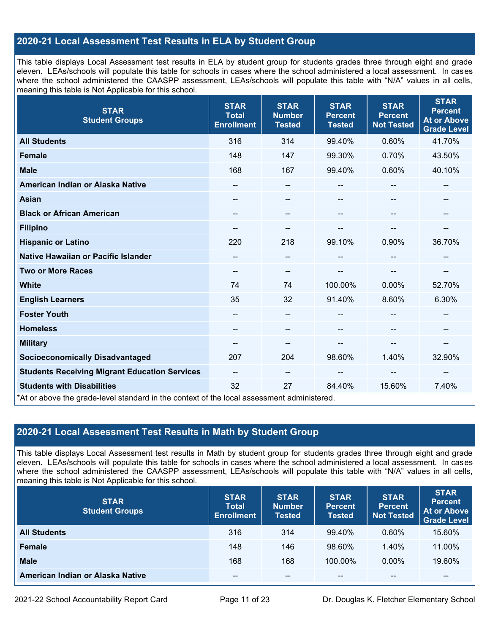## **2020-21 Local Assessment Test Results in ELA by Student Group**

This table displays Local Assessment test results in ELA by student group for students grades three through eight and grade eleven. LEAs/schools will populate this table for schools in cases where the school administered a local assessment. In cases where the school administered the CAASPP assessment, LEAs/schools will populate this table with "N/A" values in all cells, meaning this table is Not Applicable for this school.

| <b>STAR</b><br><b>Student Groups</b>                                                                                            | <b>STAR</b><br><b>Total</b><br><b>Enrollment</b> | <b>STAR</b><br><b>Number</b><br><b>Tested</b> | <b>STAR</b><br><b>Percent</b><br><b>Tested</b> | <b>STAR</b><br><b>Percent</b><br><b>Not Tested</b> | <b>STAR</b><br><b>Percent</b><br><b>At or Above</b><br><b>Grade Level</b> |
|---------------------------------------------------------------------------------------------------------------------------------|--------------------------------------------------|-----------------------------------------------|------------------------------------------------|----------------------------------------------------|---------------------------------------------------------------------------|
| <b>All Students</b>                                                                                                             | 316                                              | 314                                           | 99.40%                                         | 0.60%                                              | 41.70%                                                                    |
| <b>Female</b>                                                                                                                   | 148                                              | 147                                           | 99.30%                                         | 0.70%                                              | 43.50%                                                                    |
| <b>Male</b>                                                                                                                     | 168                                              | 167                                           | 99.40%                                         | 0.60%                                              | 40.10%                                                                    |
| American Indian or Alaska Native                                                                                                | $\overline{\phantom{m}}$                         | $\overline{\phantom{m}}$                      | --                                             | --                                                 | --                                                                        |
| <b>Asian</b>                                                                                                                    | --                                               | --                                            | --                                             |                                                    |                                                                           |
| <b>Black or African American</b>                                                                                                | --                                               | --                                            | --                                             | --                                                 | --                                                                        |
| <b>Filipino</b>                                                                                                                 |                                                  | --                                            |                                                |                                                    | --                                                                        |
| <b>Hispanic or Latino</b>                                                                                                       | 220                                              | 218                                           | 99.10%                                         | 0.90%                                              | 36.70%                                                                    |
| Native Hawaiian or Pacific Islander                                                                                             | --                                               | --                                            | --                                             |                                                    |                                                                           |
| <b>Two or More Races</b>                                                                                                        | --                                               | $-$                                           |                                                |                                                    | --                                                                        |
| <b>White</b>                                                                                                                    | 74                                               | 74                                            | 100.00%                                        | $0.00\%$                                           | 52.70%                                                                    |
| <b>English Learners</b>                                                                                                         | 35                                               | 32                                            | 91.40%                                         | 8.60%                                              | 6.30%                                                                     |
| <b>Foster Youth</b>                                                                                                             |                                                  | --                                            |                                                |                                                    | --                                                                        |
| <b>Homeless</b>                                                                                                                 |                                                  |                                               |                                                |                                                    |                                                                           |
| <b>Military</b>                                                                                                                 | $\overline{\phantom{m}}$                         | --                                            | --                                             | --                                                 | $\overline{\phantom{a}}$                                                  |
| <b>Socioeconomically Disadvantaged</b>                                                                                          | 207                                              | 204                                           | 98.60%                                         | 1.40%                                              | 32.90%                                                                    |
| <b>Students Receiving Migrant Education Services</b>                                                                            | $\overline{\phantom{m}}$                         | $\qquad \qquad -$                             | --                                             | --                                                 |                                                                           |
| <b>Students with Disabilities</b><br>*At or above the grade-level standard in the context of the local assessment administered. | 32                                               | 27                                            | 84.40%                                         | 15.60%                                             | 7.40%                                                                     |

## **2020-21 Local Assessment Test Results in Math by Student Group**

This table displays Local Assessment test results in Math by student group for students grades three through eight and grade eleven. LEAs/schools will populate this table for schools in cases where the school administered a local assessment. In cases where the school administered the CAASPP assessment, LEAs/schools will populate this table with "N/A" values in all cells, meaning this table is Not Applicable for this school.

| <b>STAR</b><br><b>Student Groups</b> | <b>STAR</b><br><b>Total</b><br><b>Enrollment</b> | <b>STAR</b><br><b>Number</b><br><b>Tested</b> | <b>STAR</b><br><b>Percent</b><br><b>Tested</b> | <b>STAR</b><br><b>Percent</b><br><b>Not Tested</b> | <b>STAR</b><br>Percent<br><b>At or Above</b><br><b>Grade Level</b> |
|--------------------------------------|--------------------------------------------------|-----------------------------------------------|------------------------------------------------|----------------------------------------------------|--------------------------------------------------------------------|
| <b>All Students</b>                  | 316                                              | 314                                           | $99.40\%$                                      | $0.60\%$                                           | 15.60%                                                             |
| Female                               | 148                                              | 146                                           | 98.60%                                         | 1.40%                                              | 11.00%                                                             |
| <b>Male</b>                          | 168                                              | 168                                           | 100.00%                                        | $0.00\%$                                           | 19.60%                                                             |
| American Indian or Alaska Native     | $- -$                                            | $\sim$ $\sim$                                 | $- -$                                          | --                                                 | $\overline{\phantom{m}}$                                           |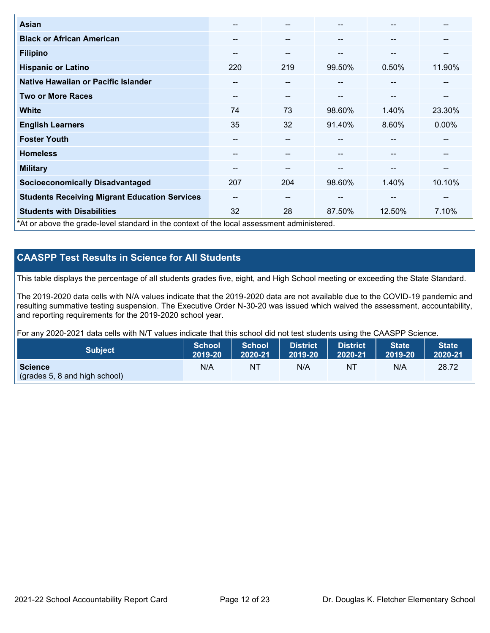| Asian                                                                                      | $- -$ | $- -$                    |        | --                       | --       |
|--------------------------------------------------------------------------------------------|-------|--------------------------|--------|--------------------------|----------|
| <b>Black or African American</b>                                                           | --    | $\overline{\phantom{m}}$ | --     | --                       | --       |
| <b>Filipino</b>                                                                            | --    | $- -$                    | --     | --                       | --       |
| <b>Hispanic or Latino</b>                                                                  | 220   | 219                      | 99.50% | 0.50%                    | 11.90%   |
| Native Hawaiian or Pacific Islander                                                        | --    | $- -$                    | --     | $\overline{\phantom{m}}$ | --       |
| <b>Two or More Races</b>                                                                   | --    | $- -$                    | --     | --                       | --       |
| <b>White</b>                                                                               | 74    | 73                       | 98.60% | 1.40%                    | 23.30%   |
| <b>English Learners</b>                                                                    | 35    | 32                       | 91.40% | 8.60%                    | $0.00\%$ |
| <b>Foster Youth</b>                                                                        | --    | $- -$                    |        | --                       | --       |
| <b>Homeless</b>                                                                            | --    | $- -$                    | --     | --                       | --       |
| <b>Military</b>                                                                            | --    | $\overline{\phantom{m}}$ | --     | --                       | --       |
| <b>Socioeconomically Disadvantaged</b>                                                     | 207   | 204                      | 98.60% | 1.40%                    | 10.10%   |
| <b>Students Receiving Migrant Education Services</b>                                       | $- -$ | $\overline{\phantom{m}}$ | --     | $-$                      | --       |
| <b>Students with Disabilities</b>                                                          | 32    | 28                       | 87.50% | 12.50%                   | 7.10%    |
| *At or above the grade-level standard in the context of the local assessment administered. |       |                          |        |                          |          |

## **CAASPP Test Results in Science for All Students**

This table displays the percentage of all students grades five, eight, and High School meeting or exceeding the State Standard.

The 2019-2020 data cells with N/A values indicate that the 2019-2020 data are not available due to the COVID-19 pandemic and resulting summative testing suspension. The Executive Order N-30-20 was issued which waived the assessment, accountability, and reporting requirements for the 2019-2020 school year.

For any 2020-2021 data cells with N/T values indicate that this school did not test students using the CAASPP Science.

| <b>Subject</b>                | School<br>2019-20 | School<br>2020-21 | <b>District</b><br>2019-20 | <b>District</b><br>2020-21 | State <sup>1</sup><br>2019-20 | <b>State</b><br>2020-21 |
|-------------------------------|-------------------|-------------------|----------------------------|----------------------------|-------------------------------|-------------------------|
| <b>Science</b>                | N/A               | NΤ                | N/A                        | N1                         | N/A                           | 28.72                   |
| (grades 5, 8 and high school) |                   |                   |                            |                            |                               |                         |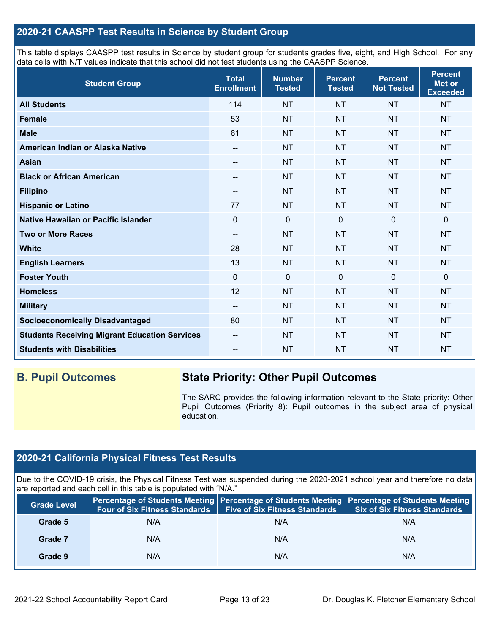## **2020-21 CAASPP Test Results in Science by Student Group**

This table displays CAASPP test results in Science by student group for students grades five, eight, and High School. For any data cells with N/T values indicate that this school did not test students using the CAASPP Science.

| <b>Student Group</b>                                 | <b>Total</b><br><b>Enrollment</b> | <b>Number</b><br><b>Tested</b> | <b>Percent</b><br><b>Tested</b> | <b>Percent</b><br><b>Not Tested</b> | <b>Percent</b><br>Met or<br><b>Exceeded</b> |
|------------------------------------------------------|-----------------------------------|--------------------------------|---------------------------------|-------------------------------------|---------------------------------------------|
| <b>All Students</b>                                  | 114                               | <b>NT</b>                      | <b>NT</b>                       | <b>NT</b>                           | <b>NT</b>                                   |
| Female                                               | 53                                | <b>NT</b>                      | <b>NT</b>                       | <b>NT</b>                           | <b>NT</b>                                   |
| <b>Male</b>                                          | 61                                | <b>NT</b>                      | <b>NT</b>                       | <b>NT</b>                           | <b>NT</b>                                   |
| American Indian or Alaska Native                     | --                                | <b>NT</b>                      | <b>NT</b>                       | <b>NT</b>                           | <b>NT</b>                                   |
| <b>Asian</b>                                         | --                                | <b>NT</b>                      | <b>NT</b>                       | <b>NT</b>                           | <b>NT</b>                                   |
| <b>Black or African American</b>                     | --                                | <b>NT</b>                      | <b>NT</b>                       | <b>NT</b>                           | <b>NT</b>                                   |
| <b>Filipino</b>                                      | $\qquad \qquad -$                 | <b>NT</b>                      | <b>NT</b>                       | <b>NT</b>                           | NT                                          |
| <b>Hispanic or Latino</b>                            | 77                                | <b>NT</b>                      | <b>NT</b>                       | <b>NT</b>                           | <b>NT</b>                                   |
| Native Hawaiian or Pacific Islander                  | $\mathbf 0$                       | $\mathbf 0$                    | $\mathbf 0$                     | $\overline{0}$                      | $\mathbf 0$                                 |
| <b>Two or More Races</b>                             | $\overline{\phantom{a}}$          | <b>NT</b>                      | <b>NT</b>                       | <b>NT</b>                           | <b>NT</b>                                   |
| <b>White</b>                                         | 28                                | <b>NT</b>                      | <b>NT</b>                       | <b>NT</b>                           | <b>NT</b>                                   |
| <b>English Learners</b>                              | 13                                | <b>NT</b>                      | <b>NT</b>                       | <b>NT</b>                           | <b>NT</b>                                   |
| <b>Foster Youth</b>                                  | $\mathbf 0$                       | $\mathbf 0$                    | $\mathbf 0$                     | $\mathbf 0$                         | $\mathbf 0$                                 |
| <b>Homeless</b>                                      | 12                                | <b>NT</b>                      | <b>NT</b>                       | <b>NT</b>                           | <b>NT</b>                                   |
| <b>Military</b>                                      | $\overline{\phantom{a}}$          | <b>NT</b>                      | <b>NT</b>                       | <b>NT</b>                           | <b>NT</b>                                   |
| <b>Socioeconomically Disadvantaged</b>               | 80                                | <b>NT</b>                      | <b>NT</b>                       | <b>NT</b>                           | <b>NT</b>                                   |
| <b>Students Receiving Migrant Education Services</b> | --                                | <b>NT</b>                      | <b>NT</b>                       | <b>NT</b>                           | <b>NT</b>                                   |
| <b>Students with Disabilities</b>                    | --                                | <b>NT</b>                      | <b>NT</b>                       | <b>NT</b>                           | <b>NT</b>                                   |

## **B. Pupil Outcomes State Priority: Other Pupil Outcomes**

The SARC provides the following information relevant to the State priority: Other Pupil Outcomes (Priority 8): Pupil outcomes in the subject area of physical education.

## **2020-21 California Physical Fitness Test Results**

Due to the COVID-19 crisis, the Physical Fitness Test was suspended during the 2020-2021 school year and therefore no data are reported and each cell in this table is populated with "N/A."

| <b>Grade Level</b> | <b>Four of Six Fitness Standards</b> | <b>Five of Six Fitness Standards</b> | Percentage of Students Meeting   Percentage of Students Meeting   Percentage of Students Meeting<br><b>Six of Six Fitness Standards</b> |
|--------------------|--------------------------------------|--------------------------------------|-----------------------------------------------------------------------------------------------------------------------------------------|
| Grade 5            | N/A                                  | N/A                                  | N/A                                                                                                                                     |
| Grade 7            | N/A                                  | N/A                                  | N/A                                                                                                                                     |
| Grade 9            | N/A                                  | N/A                                  | N/A                                                                                                                                     |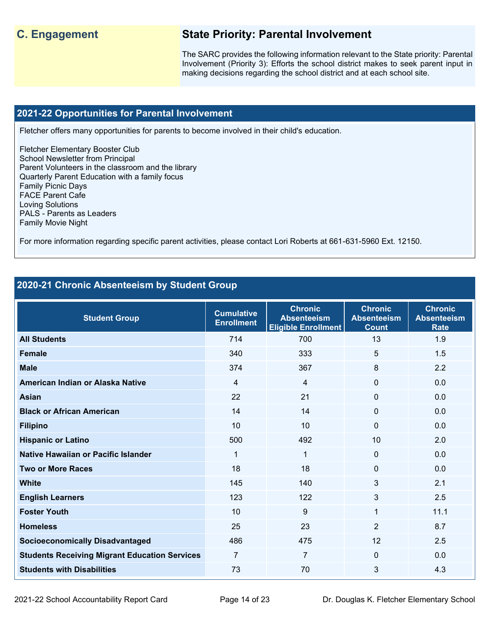## **C. Engagement State Priority: Parental Involvement**

The SARC provides the following information relevant to the State priority: Parental Involvement (Priority 3): Efforts the school district makes to seek parent input in making decisions regarding the school district and at each school site.

#### **2021-22 Opportunities for Parental Involvement**

Fletcher offers many opportunities for parents to become involved in their child's education.

Fletcher Elementary Booster Club School Newsletter from Principal Parent Volunteers in the classroom and the library Quarterly Parent Education with a family focus Family Picnic Days FACE Parent Cafe Loving Solutions PALS - Parents as Leaders Family Movie Night

For more information regarding specific parent activities, please contact Lori Roberts at 661-631-5960 Ext. 12150.

## **2020-21 Chronic Absenteeism by Student Group**

| <b>Student Group</b>                                 | <b>Cumulative</b><br><b>Enrollment</b> | <b>Chronic</b><br><b>Absenteeism</b><br><b>Eligible Enrollment</b> | <b>Chronic</b><br><b>Absenteeism</b><br><b>Count</b> | <b>Chronic</b><br><b>Absenteeism</b><br><b>Rate</b> |
|------------------------------------------------------|----------------------------------------|--------------------------------------------------------------------|------------------------------------------------------|-----------------------------------------------------|
| <b>All Students</b>                                  | 714                                    | 700                                                                | 13                                                   | 1.9                                                 |
| <b>Female</b>                                        | 340                                    | 333                                                                | 5                                                    | 1.5                                                 |
| <b>Male</b>                                          | 374                                    | 367                                                                | 8                                                    | 2.2                                                 |
| American Indian or Alaska Native                     | $\overline{4}$                         | 4                                                                  | $\Omega$                                             | 0.0                                                 |
| <b>Asian</b>                                         | 22                                     | 21                                                                 | 0                                                    | 0.0                                                 |
| <b>Black or African American</b>                     | 14                                     | 14                                                                 | 0                                                    | 0.0                                                 |
| <b>Filipino</b>                                      | 10                                     | 10                                                                 | 0                                                    | 0.0                                                 |
| <b>Hispanic or Latino</b>                            | 500                                    | 492                                                                | 10                                                   | 2.0                                                 |
| Native Hawaiian or Pacific Islander                  | 1                                      | $\mathbf 1$                                                        | $\Omega$                                             | 0.0                                                 |
| <b>Two or More Races</b>                             | 18                                     | 18                                                                 | $\Omega$                                             | 0.0                                                 |
| <b>White</b>                                         | 145                                    | 140                                                                | 3                                                    | 2.1                                                 |
| <b>English Learners</b>                              | 123                                    | 122                                                                | 3                                                    | 2.5                                                 |
| <b>Foster Youth</b>                                  | 10                                     | 9                                                                  | $\mathbf{1}$                                         | 11.1                                                |
| <b>Homeless</b>                                      | 25                                     | 23                                                                 | $\overline{2}$                                       | 8.7                                                 |
| <b>Socioeconomically Disadvantaged</b>               | 486                                    | 475                                                                | 12                                                   | 2.5                                                 |
| <b>Students Receiving Migrant Education Services</b> | $\overline{7}$                         | $\overline{7}$                                                     | $\Omega$                                             | 0.0                                                 |
| <b>Students with Disabilities</b>                    | 73                                     | 70                                                                 | 3                                                    | 4.3                                                 |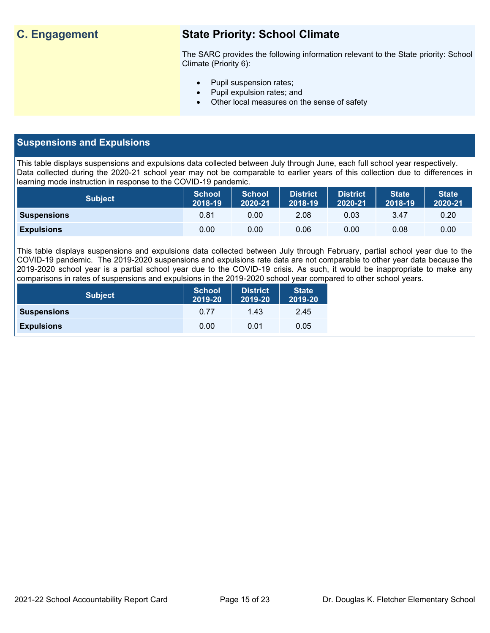## **C. Engagement State Priority: School Climate**

The SARC provides the following information relevant to the State priority: School Climate (Priority 6):

- Pupil suspension rates;
- Pupil expulsion rates; and
- Other local measures on the sense of safety

## **Suspensions and Expulsions**

This table displays suspensions and expulsions data collected between July through June, each full school year respectively. Data collected during the 2020-21 school year may not be comparable to earlier years of this collection due to differences in learning mode instruction in response to the COVID-19 pandemic.

| <b>Subject</b>     | <b>School</b><br>2018-19 | <b>School</b><br>2020-21 | <b>District</b><br>2018-19 | <b>District</b><br>2020-21 | <b>State</b><br>2018-19 | <b>State</b><br>2020-21 |
|--------------------|--------------------------|--------------------------|----------------------------|----------------------------|-------------------------|-------------------------|
| <b>Suspensions</b> | 0.81                     | 0.00                     | 2.08                       | 0.03                       | 3.47                    | $0.20^{\circ}$          |
| <b>Expulsions</b>  | 0.00                     | 0.00                     | 0.06                       | 0.00                       | 0.08                    | 0.00                    |

This table displays suspensions and expulsions data collected between July through February, partial school year due to the COVID-19 pandemic. The 2019-2020 suspensions and expulsions rate data are not comparable to other year data because the 2019-2020 school year is a partial school year due to the COVID-19 crisis. As such, it would be inappropriate to make any comparisons in rates of suspensions and expulsions in the 2019-2020 school year compared to other school years.

| <b>Subject</b>     | <b>School</b><br>2019-20 | <b>District</b><br>2019-20 | <b>State</b><br>2019-20 |
|--------------------|--------------------------|----------------------------|-------------------------|
| <b>Suspensions</b> | 0.77                     | 1.43                       | 2.45                    |
| <b>Expulsions</b>  | 0.00                     | 0.01                       | 0.05                    |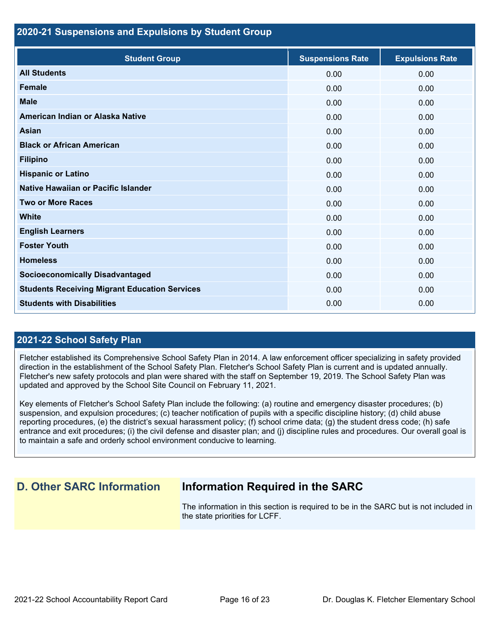#### **2020-21 Suspensions and Expulsions by Student Group**

| <b>Student Group</b>                                 | <b>Suspensions Rate</b> | <b>Expulsions Rate</b> |
|------------------------------------------------------|-------------------------|------------------------|
| <b>All Students</b>                                  | 0.00                    | 0.00                   |
| <b>Female</b>                                        | 0.00                    | 0.00                   |
| <b>Male</b>                                          | 0.00                    | 0.00                   |
| American Indian or Alaska Native                     | 0.00                    | 0.00                   |
| <b>Asian</b>                                         | 0.00                    | 0.00                   |
| <b>Black or African American</b>                     | 0.00                    | 0.00                   |
| <b>Filipino</b>                                      | 0.00                    | 0.00                   |
| <b>Hispanic or Latino</b>                            | 0.00                    | 0.00                   |
| Native Hawaiian or Pacific Islander                  | 0.00                    | 0.00                   |
| <b>Two or More Races</b>                             | 0.00                    | 0.00                   |
| <b>White</b>                                         | 0.00                    | 0.00                   |
| <b>English Learners</b>                              | 0.00                    | 0.00                   |
| <b>Foster Youth</b>                                  | 0.00                    | 0.00                   |
| <b>Homeless</b>                                      | 0.00                    | 0.00                   |
| <b>Socioeconomically Disadvantaged</b>               | 0.00                    | 0.00                   |
| <b>Students Receiving Migrant Education Services</b> | 0.00                    | 0.00                   |
| <b>Students with Disabilities</b>                    | 0.00                    | 0.00                   |

#### **2021-22 School Safety Plan**

Fletcher established its Comprehensive School Safety Plan in 2014. A law enforcement officer specializing in safety provided direction in the establishment of the School Safety Plan. Fletcher's School Safety Plan is current and is updated annually. Fletcher's new safety protocols and plan were shared with the staff on September 19, 2019. The School Safety Plan was updated and approved by the School Site Council on February 11, 2021.

Key elements of Fletcher's School Safety Plan include the following: (a) routine and emergency disaster procedures; (b) suspension, and expulsion procedures; (c) teacher notification of pupils with a specific discipline history; (d) child abuse reporting procedures, (e) the district's sexual harassment policy; (f) school crime data; (g) the student dress code; (h) safe entrance and exit procedures; (i) the civil defense and disaster plan; and (j) discipline rules and procedures. Our overall goal is to maintain a safe and orderly school environment conducive to learning.

## **D. Other SARC Information Information Required in the SARC**

The information in this section is required to be in the SARC but is not included in the state priorities for LCFF.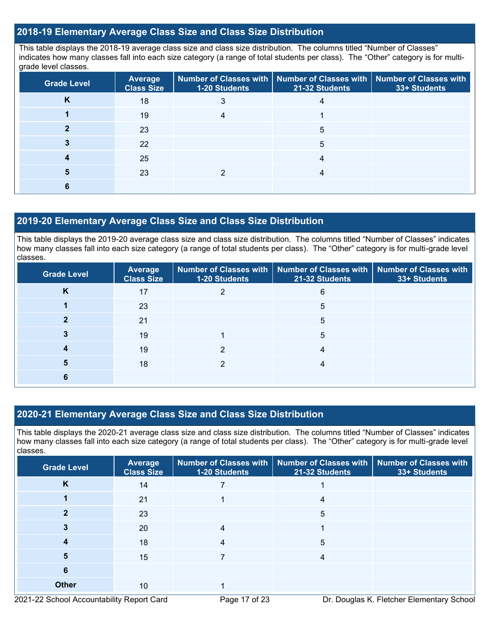## **2018-19 Elementary Average Class Size and Class Size Distribution**

This table displays the 2018-19 average class size and class size distribution. The columns titled "Number of Classes" indicates how many classes fall into each size category (a range of total students per class). The "Other" category is for multigrade level classes.

| <b>Grade Level</b> | Average<br><b>Class Size</b> | <b>1-20 Students</b> | Number of Classes with Number of Classes with Number of Classes with<br>21-32 Students | 33+ Students |
|--------------------|------------------------------|----------------------|----------------------------------------------------------------------------------------|--------------|
| Κ                  | 18                           |                      |                                                                                        |              |
|                    | 19                           |                      |                                                                                        |              |
|                    | 23                           |                      | 5                                                                                      |              |
|                    | 22                           |                      | 5                                                                                      |              |
|                    | 25                           |                      | 4                                                                                      |              |
|                    | 23                           |                      |                                                                                        |              |
|                    |                              |                      |                                                                                        |              |

#### **2019-20 Elementary Average Class Size and Class Size Distribution**

This table displays the 2019-20 average class size and class size distribution. The columns titled "Number of Classes" indicates how many classes fall into each size category (a range of total students per class). The "Other" category is for multi-grade level classes.

| <b>Grade Level</b> | Average<br><b>Class Size</b> | 1-20 Students | Number of Classes with   Number of Classes with   Number of Classes with<br>21-32 Students | 33+ Students |
|--------------------|------------------------------|---------------|--------------------------------------------------------------------------------------------|--------------|
| K                  | 17                           |               | 6                                                                                          |              |
|                    | 23                           |               | 5                                                                                          |              |
|                    | 21                           |               | 5                                                                                          |              |
|                    | 19                           |               | 5                                                                                          |              |
|                    | 19                           |               |                                                                                            |              |
| 5                  | 18                           | າ             |                                                                                            |              |
| ь                  |                              |               |                                                                                            |              |

## **2020-21 Elementary Average Class Size and Class Size Distribution**

This table displays the 2020-21 average class size and class size distribution. The columns titled "Number of Classes" indicates how many classes fall into each size category (a range of total students per class). The "Other" category is for multi-grade level classes.

| <b>Grade Level</b> | <b>Average</b><br><b>Class Size</b> | 1-20 Students | Number of Classes with   Number of Classes with   Number of Classes with<br>21-32 Students | 33+ Students |
|--------------------|-------------------------------------|---------------|--------------------------------------------------------------------------------------------|--------------|
| K                  | 14                                  |               |                                                                                            |              |
|                    | 21                                  |               | 4                                                                                          |              |
|                    | 23                                  |               | 5                                                                                          |              |
|                    | 20                                  |               |                                                                                            |              |
|                    | 18                                  |               | 5                                                                                          |              |
| 5                  | 15                                  |               |                                                                                            |              |
| 6                  |                                     |               |                                                                                            |              |
| <b>Other</b>       | 10 <sup>°</sup>                     |               |                                                                                            |              |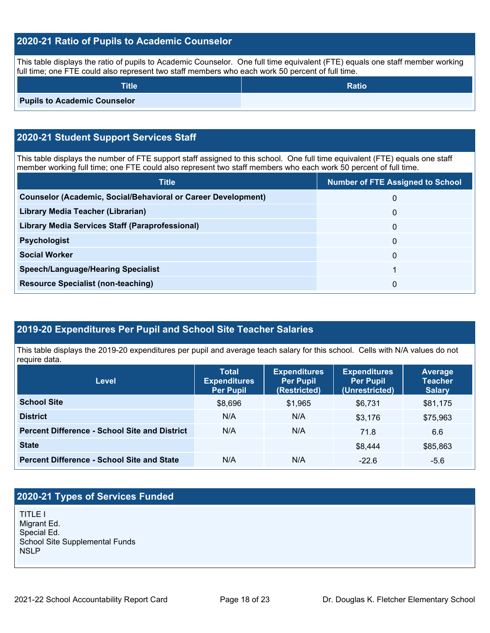## **2020-21 Ratio of Pupils to Academic Counselor**

This table displays the ratio of pupils to Academic Counselor. One full time equivalent (FTE) equals one staff member working full time; one FTE could also represent two staff members who each work 50 percent of full time.

| <b>Title</b>                        | <b>Ratio</b> |
|-------------------------------------|--------------|
| <b>Pupils to Academic Counselor</b> |              |

## **2020-21 Student Support Services Staff**

This table displays the number of FTE support staff assigned to this school. One full time equivalent (FTE) equals one staff member working full time; one FTE could also represent two staff members who each work 50 percent of full time.

| <b>Title</b>                                                         | <b>Number of FTE Assigned to School</b> |
|----------------------------------------------------------------------|-----------------------------------------|
| <b>Counselor (Academic, Social/Behavioral or Career Development)</b> | 0                                       |
| Library Media Teacher (Librarian)                                    | 0                                       |
| <b>Library Media Services Staff (Paraprofessional)</b>               | 0                                       |
| <b>Psychologist</b>                                                  | 0                                       |
| <b>Social Worker</b>                                                 | 0                                       |
| <b>Speech/Language/Hearing Specialist</b>                            |                                         |
| <b>Resource Specialist (non-teaching)</b>                            | 0                                       |

## **2019-20 Expenditures Per Pupil and School Site Teacher Salaries**

This table displays the 2019-20 expenditures per pupil and average teach salary for this school. Cells with N/A values do not require data.

| <b>Level</b>                                         | <b>Total</b><br><b>Expenditures</b><br><b>Per Pupil</b> | <b>Expenditures</b><br><b>Per Pupil</b><br>(Restricted) | <b>Expenditures</b><br><b>Per Pupil</b><br>(Unrestricted) | Average<br><b>Teacher</b><br><b>Salary</b> |
|------------------------------------------------------|---------------------------------------------------------|---------------------------------------------------------|-----------------------------------------------------------|--------------------------------------------|
| <b>School Site</b>                                   | \$8,696                                                 | \$1,965                                                 | \$6.731                                                   | \$81,175                                   |
| <b>District</b>                                      | N/A                                                     | N/A                                                     | \$3.176                                                   | \$75,963                                   |
| <b>Percent Difference - School Site and District</b> | N/A                                                     | N/A                                                     | 71.8                                                      | 6.6                                        |
| <b>State</b>                                         |                                                         |                                                         | \$8,444                                                   | \$85,863                                   |
| <b>Percent Difference - School Site and State</b>    | N/A                                                     | N/A                                                     | $-22.6$                                                   | $-5.6$                                     |

## **2020-21 Types of Services Funded**

TITLE I Migrant Ed. Special Ed. School Site Supplemental Funds NSLP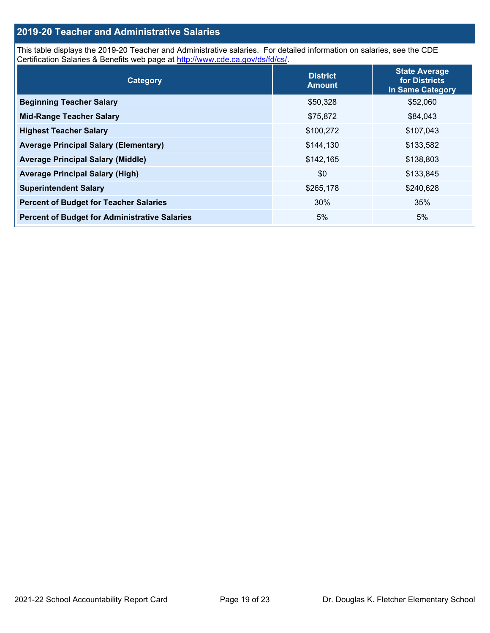## **2019-20 Teacher and Administrative Salaries**

This table displays the 2019-20 Teacher and Administrative salaries. For detailed information on salaries, see the CDE Certification Salaries & Benefits web page at [http://www.cde.ca.gov/ds/fd/cs/.](http://www.cde.ca.gov/ds/fd/cs/)

| Category                                             | <b>District</b><br><b>Amount</b> | <b>State Average</b><br>for Districts<br>in Same Category |
|------------------------------------------------------|----------------------------------|-----------------------------------------------------------|
| <b>Beginning Teacher Salary</b>                      | \$50,328                         | \$52,060                                                  |
| <b>Mid-Range Teacher Salary</b>                      | \$75,872                         | \$84,043                                                  |
| <b>Highest Teacher Salary</b>                        | \$100,272                        | \$107,043                                                 |
| <b>Average Principal Salary (Elementary)</b>         | \$144,130                        | \$133,582                                                 |
| <b>Average Principal Salary (Middle)</b>             | \$142,165                        | \$138,803                                                 |
| <b>Average Principal Salary (High)</b>               | \$0                              | \$133,845                                                 |
| <b>Superintendent Salary</b>                         | \$265,178                        | \$240,628                                                 |
| <b>Percent of Budget for Teacher Salaries</b>        | 30%                              | 35%                                                       |
| <b>Percent of Budget for Administrative Salaries</b> | 5%                               | 5%                                                        |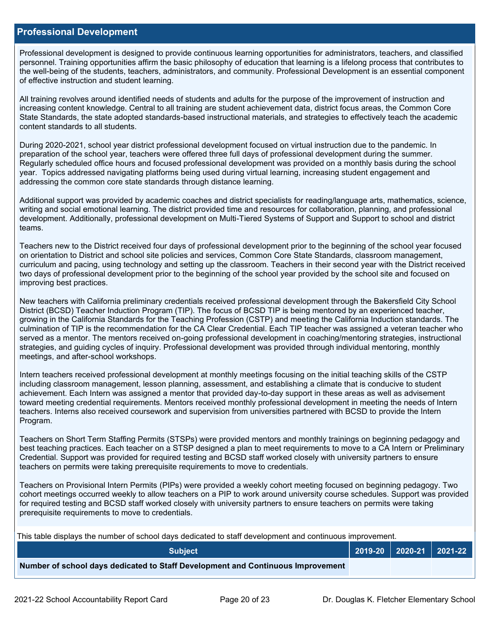#### **Professional Development**

Professional development is designed to provide continuous learning opportunities for administrators, teachers, and classified personnel. Training opportunities affirm the basic philosophy of education that learning is a lifelong process that contributes to the well-being of the students, teachers, administrators, and community. Professional Development is an essential component of effective instruction and student learning.

All training revolves around identified needs of students and adults for the purpose of the improvement of instruction and increasing content knowledge. Central to all training are student achievement data, district focus areas, the Common Core State Standards, the state adopted standards-based instructional materials, and strategies to effectively teach the academic content standards to all students.

During 2020-2021, school year district professional development focused on virtual instruction due to the pandemic. In preparation of the school year, teachers were offered three full days of professional development during the summer. Regularly scheduled office hours and focused professional development was provided on a monthly basis during the school year. Topics addressed navigating platforms being used during virtual learning, increasing student engagement and addressing the common core state standards through distance learning.

Additional support was provided by academic coaches and district specialists for reading/language arts, mathematics, science, writing and social emotional learning. The district provided time and resources for collaboration, planning, and professional development. Additionally, professional development on Multi-Tiered Systems of Support and Support to school and district teams.

Teachers new to the District received four days of professional development prior to the beginning of the school year focused on orientation to District and school site policies and services, Common Core State Standards, classroom management, curriculum and pacing, using technology and setting up the classroom. Teachers in their second year with the District received two days of professional development prior to the beginning of the school year provided by the school site and focused on improving best practices.

New teachers with California preliminary credentials received professional development through the Bakersfield City School District (BCSD) Teacher Induction Program (TIP). The focus of BCSD TIP is being mentored by an experienced teacher, growing in the California Standards for the Teaching Profession (CSTP) and meeting the California Induction standards. The culmination of TIP is the recommendation for the CA Clear Credential. Each TIP teacher was assigned a veteran teacher who served as a mentor. The mentors received on-going professional development in coaching/mentoring strategies, instructional strategies, and guiding cycles of inquiry. Professional development was provided through individual mentoring, monthly meetings, and after-school workshops.

Intern teachers received professional development at monthly meetings focusing on the initial teaching skills of the CSTP including classroom management, lesson planning, assessment, and establishing a climate that is conducive to student achievement. Each Intern was assigned a mentor that provided day-to-day support in these areas as well as advisement toward meeting credential requirements. Mentors received monthly professional development in meeting the needs of Intern teachers. Interns also received coursework and supervision from universities partnered with BCSD to provide the Intern Program.

Teachers on Short Term Staffing Permits (STSPs) were provided mentors and monthly trainings on beginning pedagogy and best teaching practices. Each teacher on a STSP designed a plan to meet requirements to move to a CA Intern or Preliminary Credential. Support was provided for required testing and BCSD staff worked closely with university partners to ensure teachers on permits were taking prerequisite requirements to move to credentials.

Teachers on Provisional Intern Permits (PIPs) were provided a weekly cohort meeting focused on beginning pedagogy. Two cohort meetings occurred weekly to allow teachers on a PIP to work around university course schedules. Support was provided for required testing and BCSD staff worked closely with university partners to ensure teachers on permits were taking prerequisite requirements to move to credentials.

This table displays the number of school days dedicated to staff development and continuous improvement.

| <b>Subiect</b>                                                                  |  | 2019-20   2020-21   2021-22 |
|---------------------------------------------------------------------------------|--|-----------------------------|
| Number of school days dedicated to Staff Development and Continuous Improvement |  |                             |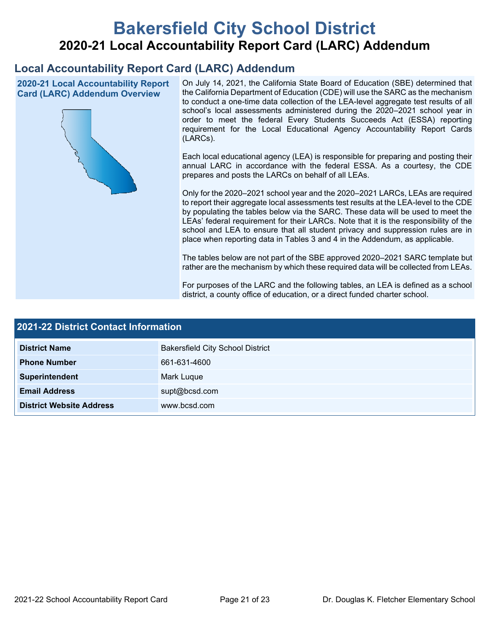# **Bakersfield City School District 2020-21 Local Accountability Report Card (LARC) Addendum**

## **Local Accountability Report Card (LARC) Addendum**

**2020-21 Local Accountability Report Card (LARC) Addendum Overview**



On July 14, 2021, the California State Board of Education (SBE) determined that the California Department of Education (CDE) will use the SARC as the mechanism to conduct a one-time data collection of the LEA-level aggregate test results of all school's local assessments administered during the 2020–2021 school year in order to meet the federal Every Students Succeeds Act (ESSA) reporting requirement for the Local Educational Agency Accountability Report Cards (LARCs).

Each local educational agency (LEA) is responsible for preparing and posting their annual LARC in accordance with the federal ESSA. As a courtesy, the CDE prepares and posts the LARCs on behalf of all LEAs.

Only for the 2020–2021 school year and the 2020–2021 LARCs, LEAs are required to report their aggregate local assessments test results at the LEA-level to the CDE by populating the tables below via the SARC. These data will be used to meet the LEAs' federal requirement for their LARCs. Note that it is the responsibility of the school and LEA to ensure that all student privacy and suppression rules are in place when reporting data in Tables 3 and 4 in the Addendum, as applicable.

The tables below are not part of the SBE approved 2020–2021 SARC template but rather are the mechanism by which these required data will be collected from LEAs.

For purposes of the LARC and the following tables, an LEA is defined as a school district, a county office of education, or a direct funded charter school.

| <b>2021-22 District Contact Information</b> |                                         |  |  |
|---------------------------------------------|-----------------------------------------|--|--|
| <b>District Name</b>                        | <b>Bakersfield City School District</b> |  |  |
| <b>Phone Number</b>                         | 661-631-4600                            |  |  |
| Superintendent                              | Mark Luque                              |  |  |
| <b>Email Address</b>                        | supt@bcsd.com                           |  |  |
| <b>District Website Address</b>             | www.bcsd.com                            |  |  |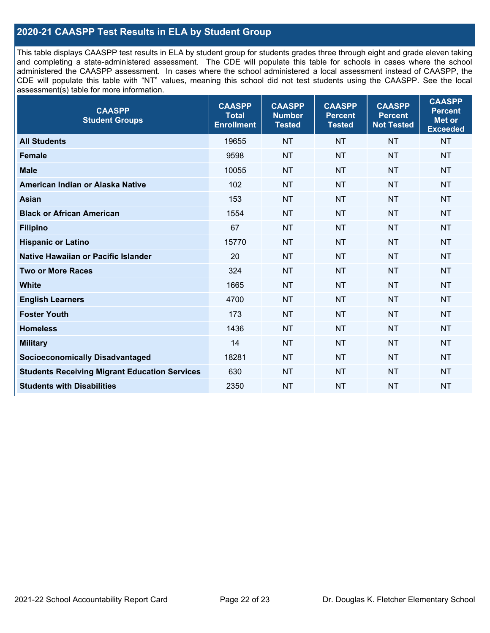## **2020-21 CAASPP Test Results in ELA by Student Group**

This table displays CAASPP test results in ELA by student group for students grades three through eight and grade eleven taking and completing a state-administered assessment. The CDE will populate this table for schools in cases where the school administered the CAASPP assessment. In cases where the school administered a local assessment instead of CAASPP, the CDE will populate this table with "NT" values, meaning this school did not test students using the CAASPP. See the local assessment(s) table for more information.

| <b>CAASPP</b><br><b>Student Groups</b>               | <b>CAASPP</b><br><b>Total</b><br><b>Enrollment</b> | <b>CAASPP</b><br><b>Number</b><br><b>Tested</b> | <b>CAASPP</b><br><b>Percent</b><br><b>Tested</b> | <b>CAASPP</b><br><b>Percent</b><br><b>Not Tested</b> | <b>CAASPP</b><br><b>Percent</b><br>Met or<br><b>Exceeded</b> |
|------------------------------------------------------|----------------------------------------------------|-------------------------------------------------|--------------------------------------------------|------------------------------------------------------|--------------------------------------------------------------|
| <b>All Students</b>                                  | 19655                                              | <b>NT</b>                                       | <b>NT</b>                                        | <b>NT</b>                                            | <b>NT</b>                                                    |
| <b>Female</b>                                        | 9598                                               | <b>NT</b>                                       | <b>NT</b>                                        | <b>NT</b>                                            | <b>NT</b>                                                    |
| <b>Male</b>                                          | 10055                                              | <b>NT</b>                                       | <b>NT</b>                                        | <b>NT</b>                                            | <b>NT</b>                                                    |
| American Indian or Alaska Native                     | 102                                                | <b>NT</b>                                       | <b>NT</b>                                        | <b>NT</b>                                            | <b>NT</b>                                                    |
| <b>Asian</b>                                         | 153                                                | <b>NT</b>                                       | <b>NT</b>                                        | <b>NT</b>                                            | <b>NT</b>                                                    |
| <b>Black or African American</b>                     | 1554                                               | <b>NT</b>                                       | <b>NT</b>                                        | <b>NT</b>                                            | <b>NT</b>                                                    |
| <b>Filipino</b>                                      | 67                                                 | <b>NT</b>                                       | <b>NT</b>                                        | <b>NT</b>                                            | <b>NT</b>                                                    |
| <b>Hispanic or Latino</b>                            | 15770                                              | <b>NT</b>                                       | <b>NT</b>                                        | <b>NT</b>                                            | <b>NT</b>                                                    |
| Native Hawaiian or Pacific Islander                  | 20                                                 | <b>NT</b>                                       | <b>NT</b>                                        | <b>NT</b>                                            | <b>NT</b>                                                    |
| <b>Two or More Races</b>                             | 324                                                | <b>NT</b>                                       | <b>NT</b>                                        | <b>NT</b>                                            | <b>NT</b>                                                    |
| <b>White</b>                                         | 1665                                               | <b>NT</b>                                       | <b>NT</b>                                        | <b>NT</b>                                            | <b>NT</b>                                                    |
| <b>English Learners</b>                              | 4700                                               | <b>NT</b>                                       | <b>NT</b>                                        | <b>NT</b>                                            | <b>NT</b>                                                    |
| <b>Foster Youth</b>                                  | 173                                                | <b>NT</b>                                       | <b>NT</b>                                        | <b>NT</b>                                            | <b>NT</b>                                                    |
| <b>Homeless</b>                                      | 1436                                               | <b>NT</b>                                       | <b>NT</b>                                        | <b>NT</b>                                            | <b>NT</b>                                                    |
| <b>Military</b>                                      | 14                                                 | <b>NT</b>                                       | <b>NT</b>                                        | <b>NT</b>                                            | <b>NT</b>                                                    |
| <b>Socioeconomically Disadvantaged</b>               | 18281                                              | <b>NT</b>                                       | <b>NT</b>                                        | <b>NT</b>                                            | <b>NT</b>                                                    |
| <b>Students Receiving Migrant Education Services</b> | 630                                                | <b>NT</b>                                       | <b>NT</b>                                        | <b>NT</b>                                            | NT                                                           |
| <b>Students with Disabilities</b>                    | 2350                                               | <b>NT</b>                                       | <b>NT</b>                                        | <b>NT</b>                                            | <b>NT</b>                                                    |